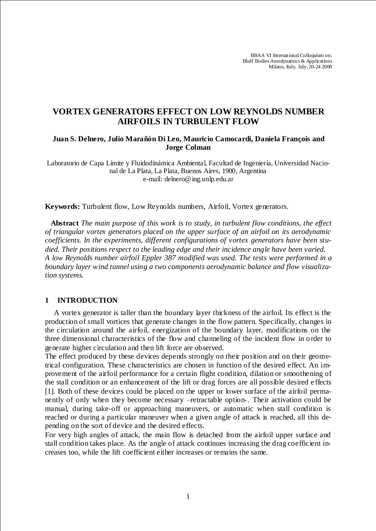BBAA VI International Colloquium on: Bluff Bodies Aerodynamics & Applications Milano, Italy, July, 20-24 2008

# **VORTEX GENERATORS EFFECT ON LOW REYNOLDS NUMBER AIRFOILS IN TURBULENT FLOW**

## **Juan S. Delnero, Julio Marañón Di Leo, Mauricio Camocardi, Daniela François and Jorge Colman**

Laboratorio de Capa Límite y Fluidodinámica Ambiental, Facultad de Ingeniería, Universidad Nacional de La Plata, La Plata, Buenos Aires, 1900, Argentina e-mail: delnero@ing.unlp.edu.ar

**Keywords:** Turbulent flow, Low Reynolds numbers, Airfoil, Vortex generators.

 **Abstract** *The main purpose of this work is to study, in turbulent flow conditions, the effect of triangular vortex generators placed on the upper surface of an airfoil on its aerodynamic coefficients. In the experiments, different configurations of vortex generators have been studied. Their positions respect to the leading edge and their incidence angle have been varied. A low Reynolds number airfoil Eppler 387 modified was used. The tests were performed in a boundary layer wind tunnel using a two components aerodynamic balance and flow visualization systems.*

## **1 INTRODUCTION**

A vortex generator is taller than the boundary layer thickness of the airfoil. Its effect is the production of small vortices that generate changes in the flow pattern. Specifically, changes in the circulation around the airfoil, energization of the boundary layer, modifications on the three dimensional characteristics of the flow and channeling of the incident flow in o rder to generate higher circulation and then lift force are observed.

The effect produced by these devices depends strongly on their position and on their geometrical configuration. These characteristics are chosen in function of the desired effect. An improvement of the airfoil performance for a certain flight condition, dilation or smoothening of the stall condition or an enhancement of the lift or drag forces are all possible desired e ffects [1]. Both of these devices could be placed on the upper or lower surface of the airfoil permanently of only when they become necessary –retractable option-. Their activation could be manual, during take-off or approaching maneuvers, or automatic when stall condition is reached or during a particular maneuver when a given angle of attack is reached, all this depending on the sort of device and the desired effects.

For very high angles of attack, the main flow is detached from the airfoil upper surface and stall condition takes place. As the angle of attack continues increasing the drag coefficient increases too, while the lift coefficient either increases or remains the same.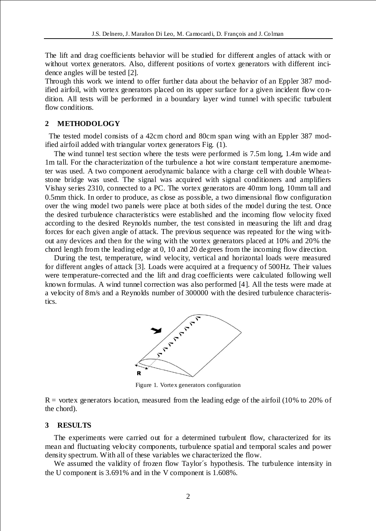The lift and drag coefficients behavior will be studied for different angles of attack with or without vortex generators. Also, different positions of vortex generators with different incidence angles will be tested [2].

Through this work we intend to offer further data about the behavior of an Eppler 387 modified airfoil, with vortex generators placed on its upper surface for a given incident flow co ndition. All tests will be performed in a boundary layer wind tunnel with specific turbulent flow conditions.

### **2 METHODOLOGY**

The tested model consists of a 42cm chord and 80cm span wing with an Eppler 387 modified airfoil added with triangular vortex generators Fig. (1).

The wind tunnel test section where the tests were performed is 7.5m long, 1.4m wide and 1m tall. For the characterization of the turbulence a hot wire constant temperature anemometer was used. A two component aerodynamic balance with a charge cell with double Whea tstone bridge was used. The signal was acquired with signal conditioners and amplifiers Vishay series 2310, connected to a PC. The vortex generators are 40mm long, 10mm tall and 0.5mm thick. In order to produce, as close as possible, a two dimensional flow configuration over the wing model two panels were place at both sides of the model during the test. Once the desired turbulence characteristics were established and the incoming flow velocity fixed according to the desired Reynolds number, the test consisted in measuring the lift and drag forces for each given angle of attack. The previous sequence was repeated for the wing without any devices and then for the wing with the vortex generators placed at 10% and 20% the chord length from the leading edge at 0, 10 and 20 degrees from the incoming flow direction.

During the test, temperature, wind velocity, vertical and horizontal loads were measured for different angles of attack [3]. Loads were acquired at a frequency of 500Hz. Their values were temperature-corrected and the lift and drag coefficients were calculated following well known formulas. A wind tunnel correction was also performed [4]. All the tests were made at a velocity of 8m/s and a Reynolds number of 300000 with the desired turbulence characteristics.



Figure 1. Vortex generators configuration

 $R =$  vortex generators location, measured from the leading edge of the airfoil (10% to 20% of the chord).

#### **3 RESULTS**

The experiments were carried out for a determined turbulent flow, characterized for its mean and fluctuating velocity components, turbulence spatial and temporal scales and power density spectrum. With all of these variables we characterized the flow.

We assumed the validity of frozen flow Taylor´s hypothesis. The turbulence intensity in the U component is 3.691% and in the V component is 1.608%.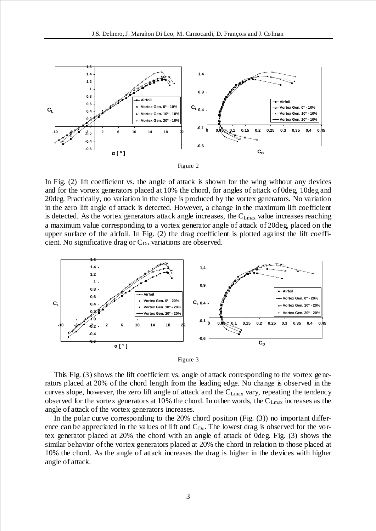



In Fig. (2) lift coefficient vs. the angle of attack is shown for the wing without any devices and for the vortex generators placed at 10% the chord, for angles of attack of 0deg, 10deg and 20deg. Practically, no variation in the slope is produced by the vortex generators. No variation in the zero lift angle of attack is detected. However, a change in the maximum lift coefficient is detected. As the vortex generators attack angle increases, the  $C_{Lmax}$  value increases reaching a maximum value corresponding to a vortex generator angle of attack of 20deg, placed on the upper surface of the airfoil. In Fig. (2) the drag coefficient is plotted against the lift coefficient. No significative drag or  $C_{\text{Do}}$  variations are observed.





This Fig. (3) shows the lift coefficient vs. angle of attack corresponding to the vortex generators placed at 20% of the chord length from the leading edge. No change is observed in the curves slope, however, the zero lift angle of attack and the C<sub>Lmax</sub> vary, repeating the tendency observed for the vortex generators at 10% the chord. In other words, the  $C_{Lmax}$  increases as the angle of attack of the vortex generators increases.

In the polar curve corresponding to the 20% chord position (Fig. (3)) no important difference can be appreciated in the values of lift and  $C_{Do}$ . The lowest drag is observed for the vortex generator placed at 20% the chord with an angle of attack of 0deg. Fig. (3) shows the similar behavior of the vortex generators placed at 20% the chord in relation to those placed at 10% the chord. As the angle of attack increases the drag is higher in the devices with higher angle of attack.